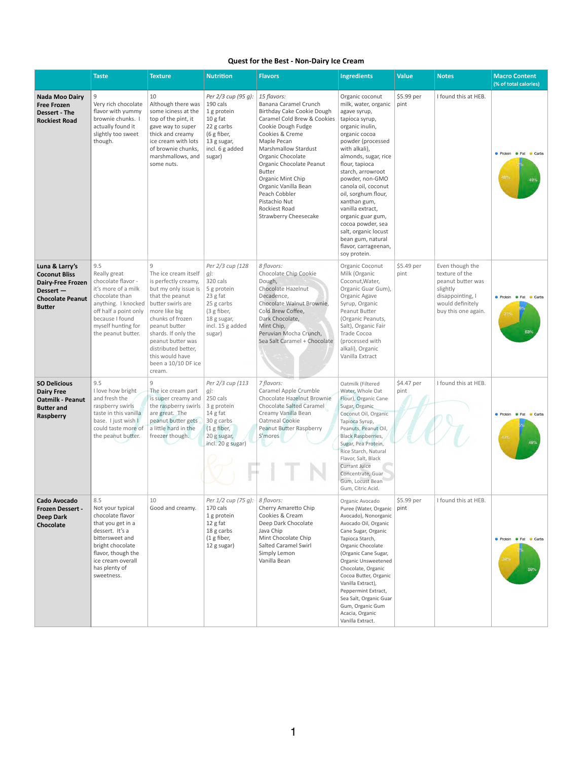| <b>Quest for the Best - Non-Dairy Ice Cream</b> |  |  |
|-------------------------------------------------|--|--|
|-------------------------------------------------|--|--|

|                                                                                                                             | <b>Taste</b>                                                                                                                                                                                                          | <b>Texture</b>                                                                                                                                                                                                                                                                       | <b>Nutrition</b>                                                                                                                           | <b>Flavors</b>                                                                                                                                                                                                                                                                                                                                                                                           | <b>Ingredients</b>                                                                                                                                                                                                                                                                                                                                                                                                                                     | <b>Value</b>       | <b>Notes</b>                                                                                                                      | <b>Macro Content</b><br>(% of total calories)     |
|-----------------------------------------------------------------------------------------------------------------------------|-----------------------------------------------------------------------------------------------------------------------------------------------------------------------------------------------------------------------|--------------------------------------------------------------------------------------------------------------------------------------------------------------------------------------------------------------------------------------------------------------------------------------|--------------------------------------------------------------------------------------------------------------------------------------------|----------------------------------------------------------------------------------------------------------------------------------------------------------------------------------------------------------------------------------------------------------------------------------------------------------------------------------------------------------------------------------------------------------|--------------------------------------------------------------------------------------------------------------------------------------------------------------------------------------------------------------------------------------------------------------------------------------------------------------------------------------------------------------------------------------------------------------------------------------------------------|--------------------|-----------------------------------------------------------------------------------------------------------------------------------|---------------------------------------------------|
| <b>Nada Moo Dairy</b><br><b>Free Frozen</b><br><b>Dessert - The</b><br><b>Rockiest Road</b>                                 | 9<br>Very rich chocolate<br>flavor with yummy<br>brownie chunks.<br>actually found it<br>slightly too sweet<br>though.                                                                                                | 10<br>Although there was<br>some iciness at the<br>top of the pint, it<br>gave way to super<br>thick and creamy<br>ice cream with lots<br>of brownie chunks,<br>marshmallows, and<br>some nuts.                                                                                      | Per 2/3 cup (95 g):<br>190 cals<br>1 g protein<br>$10g$ fat<br>22 g carbs<br>(6 g fiber,<br>13 g sugar,<br>incl. 6 g added<br>sugar)       | 15 flavors:<br><b>Banana Caramel Crunch</b><br>Birthday Cake Cookie Dough<br>Caramel Cold Brew & Cookies<br>Cookie Dough Fudge<br>Cookies & Creme<br>Maple Pecan<br><b>Marshmallow Stardust</b><br>Organic Chocolate<br>Organic Chocolate Peanut<br><b>Butter</b><br>Organic Mint Chip<br>Organic Vanilla Bean<br>Peach Cobbler<br>Pistachio Nut<br><b>Rockiest Road</b><br><b>Strawberry Cheesecake</b> | Organic coconut<br>milk, water, organic<br>agave syrup,<br>tapioca syrup,<br>organic inulin,<br>organic cocoa<br>powder (processed<br>with alkali),<br>almonds, sugar, rice<br>flour, tapioca<br>starch, arrowroot<br>powder, non-GMO<br>canola oil, coconut<br>oil, sorghum flour,<br>xanthan gum,<br>vanilla extract,<br>organic guar gum,<br>cocoa powder, sea<br>salt, organic locust<br>bean gum, natural<br>flavor, carrageenan,<br>soy protein. | \$5.99 per<br>pint | I found this at HEB.                                                                                                              | <b>O</b> Protein <b>O</b> Fat Carbs<br>48%<br>49% |
| Luna & Larry's<br><b>Coconut Bliss</b><br><b>Dairy-Free Frozen</b><br>Dessert -<br><b>Chocolate Peanut</b><br><b>Butter</b> | 9.5<br>Really great<br>chocolate flavor -<br>it's more of a milk<br>chocolate than<br>anything. I knocked   butter swirls are<br>off half a point only<br>because I found<br>myself hunting for<br>the peanut butter. | $\mathsf{q}$<br>The ice cream itself<br>is perfectly creamy,<br>but my only issue is<br>that the peanut<br>more like big<br>chunks of frozen<br>peanut butter<br>shards. If only the<br>peanut butter was<br>distributed better,<br>this would have<br>been a 10/10 DF ice<br>cream. | Per 2/3 cup (128<br>$q$ :<br>320 cals<br>5 g protein<br>23 g fat<br>25 g carbs<br>(3 g fiber,<br>18 g sugar,<br>incl. 15 g added<br>sugar) | 8 flavors:<br>Chocolate Chip Cookie<br>Dough,<br><b>Chocolate Hazelnut</b><br>Decadence,<br>Chocolate Walnut Brownie,<br>Cold Brew Coffee,<br>Dark Chocolate,<br>Mint Chip,<br>Peruvian Mocha Crunch,<br>Sea Salt Caramel + Chocolate                                                                                                                                                                    | Organic Coconut<br>Milk (Organic<br>Coconut, Water,<br>Organic Guar Gum),<br>Organic Agave<br>Syrup, Organic<br>Peanut Butter<br>(Organic Peanuts,<br>Salt), Organic Fair<br><b>Trade Cocoa</b><br>(processed with<br>alkali), Organic<br>Vanilla Extract                                                                                                                                                                                              | \$5.49 per<br>pint | Even though the<br>texture of the<br>peanut butter was<br>slightly<br>disappointing, I<br>would definitely<br>buy this one again. | Protein PFat Carbs<br>31%<br>63%                  |
| <b>SO Delicious</b><br><b>Dairy Free</b><br><b>Oatmilk - Peanut</b><br><b>Butter and</b><br>Raspberry                       | 9.5<br>I love how bright<br>and fresh the<br>raspberry swirls<br>taste in this vanilla<br>base. I just wish I<br>could taste more of<br>the peanut butter.                                                            | 9<br>The ice cream part<br>is super creamy and<br>the raspberry swirls<br>are great. The<br>peanut butter gets<br>a little hard in the<br>freezer though.                                                                                                                            | Per 2/3 cup (113<br>$q$ :<br>250 cals<br>3 g protein<br>14 g fat<br>30 g carbs<br>$(1 g$ fiber,<br>20 g sugar,<br>incl. 20 g sugar)        | 7 flavors:<br>Caramel Apple Crumble<br>Chocolate Hazelnut Brownie<br><b>Chocolate Salted Caramel</b><br>Creamy Vanilla Bean<br><b>Oatmeal Cookie</b><br>Peanut Butter Raspberry<br>S'mores                                                                                                                                                                                                               | Oatmilk (Filtered<br>Water, Whole Oat<br>Flour), Organic Cane<br>Sugar, Organic<br>Coconut Oil, Organic<br>Tapioca Syrup,<br>Peanuts, Peanut Oil,<br><b>Black Raspberries,</b><br>Sugar, Pea Protein,<br>Rice Starch, Natural<br>Flavor, Salt, Black<br><b>Currant Juice</b><br>Concentrate, Guar<br>Gum, Locust Bean<br>Gum, Citric Acid.                                                                                                             | \$4.47 per<br>pint | I found this at HEB.                                                                                                              | Protein Tat Carbs<br>47%<br>49%                   |
| <b>Cado Avocado</b><br><b>Frozen Dessert -</b><br><b>Deep Dark</b><br>Chocolate                                             | 8.5<br>Not your typical<br>chocolate flavor<br>that you get in a<br>dessert. It's a<br>bittersweet and<br>bright chocolate<br>flavor, though the<br>ice cream overall<br>has plenty of<br>sweetness.                  | 10<br>Good and creamy.                                                                                                                                                                                                                                                               | Per 1/2 cup (75 g):<br>170 cals<br>1 g protein<br>12 g fat<br>18 g carbs<br>$(1$ g fiber,<br>12 g sugar)                                   | 8 flavors:<br>Cherry Amaretto Chip<br>Cookies & Cream<br>Deep Dark Chocolate<br>Java Chip<br>Mint Chocolate Chip<br><b>Salted Caramel Swirl</b><br>Simply Lemon<br>Vanilla Bean                                                                                                                                                                                                                          | Organic Avocado<br>Puree (Water, Organic<br>Avocado), Nonorganic<br>Avocado Oil, Organic<br>Cane Sugar, Organic<br>Tapioca Starch,<br>Organic Chocolate<br>(Organic Cane Sugar,<br>Organic Unsweetened<br>Chocolate, Organic<br>Cocoa Butter, Organic<br>Vanilla Extract),<br>Peppermint Extract,<br>Sea Salt, Organic Guar<br>Gum, Organic Gum<br>Acacia, Organic<br>Vanilla Extract.                                                                 | \$5.99 per<br>pint | I found this at HEB.                                                                                                              | Protein Tat Carbs<br>39°<br>59%                   |

1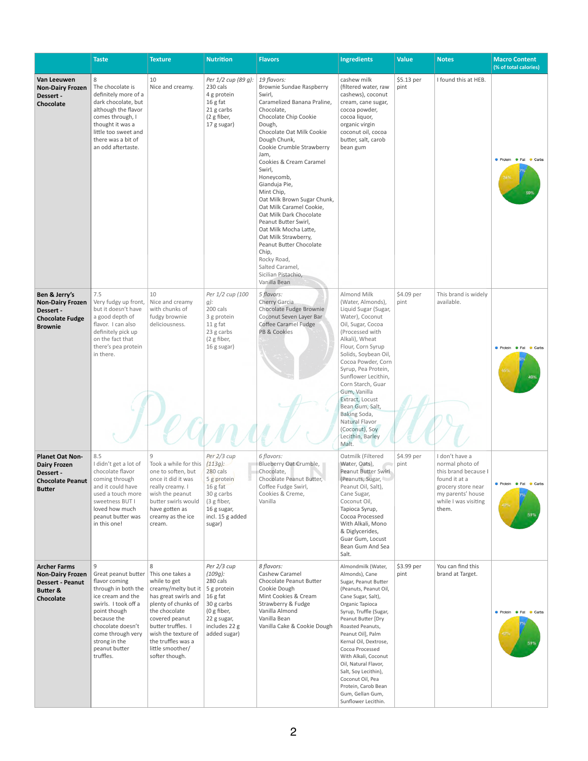|                                                                                                               | <b>Taste</b>                                                                                                                                                                                                                                             | <b>Texture</b>                                                                                                                                                                                                                                          | <b>Nutrition</b>                                                                                                                 | <b>Flavors</b>                                                                                                                                                                                                                                                                                                                                                                                                                                                                                                                                                                           | <b>Ingredients</b>                                                                                                                                                                                                                                                                                                                                                                                                                | <b>Value</b>       | <b>Notes</b>                                                                                                                                           | <b>Macro Content</b><br>(% of total calories)        |
|---------------------------------------------------------------------------------------------------------------|----------------------------------------------------------------------------------------------------------------------------------------------------------------------------------------------------------------------------------------------------------|---------------------------------------------------------------------------------------------------------------------------------------------------------------------------------------------------------------------------------------------------------|----------------------------------------------------------------------------------------------------------------------------------|------------------------------------------------------------------------------------------------------------------------------------------------------------------------------------------------------------------------------------------------------------------------------------------------------------------------------------------------------------------------------------------------------------------------------------------------------------------------------------------------------------------------------------------------------------------------------------------|-----------------------------------------------------------------------------------------------------------------------------------------------------------------------------------------------------------------------------------------------------------------------------------------------------------------------------------------------------------------------------------------------------------------------------------|--------------------|--------------------------------------------------------------------------------------------------------------------------------------------------------|------------------------------------------------------|
| Van Leeuwen<br><b>Non-Dairy Frozen</b><br>Dessert -<br>Chocolate                                              | 8<br>The chocolate is<br>definitely more of a<br>dark chocolate, but<br>although the flavor<br>comes through, I<br>thought it was a<br>little too sweet and<br>there was a bit of<br>an odd aftertaste.                                                  | 10<br>Nice and creamy.                                                                                                                                                                                                                                  | Per 1/2 cup (89 g):<br>230 cals<br>4 g protein<br>16 g fat<br>21 g carbs<br>(2 g fiber,<br>17 g sugar)                           | 19 flavors:<br><b>Brownie Sundae Raspberry</b><br>Swirl,<br>Caramelized Banana Praline,<br>Chocolate,<br>Chocolate Chip Cookie<br>Dough,<br>Chocolate Oat Milk Cookie<br>Dough Chunk,<br>Cookie Crumble Strawberry<br>Jam.<br>Cookies & Cream Caramel<br>Swirl,<br>Honeycomb,<br>Gianduja Pie,<br>Mint Chip,<br>Oat Milk Brown Sugar Chunk,<br>Oat Milk Caramel Cookie,<br>Oat Milk Dark Chocolate<br>Peanut Butter Swirl,<br>Oat Milk Mocha Latte,<br>Oat Milk Strawberry,<br>Peanut Butter Chocolate<br>Chip,<br>Rocky Road,<br>Salted Caramel,<br>Sicilian Pistachio,<br>Vanilla Bean | cashew milk<br>(filtered water, raw<br>cashews), coconut<br>cream, cane sugar,<br>cocoa powder,<br>cocoa liquor,<br>organic virgin<br>coconut oil, cocoa<br>butter, salt, carob<br>bean gum                                                                                                                                                                                                                                       | \$5.13 per<br>pint | I found this at HEB.                                                                                                                                   | <b>O</b> Protein <b>O</b> Fat<br>Carbs               |
| Ben & Jerry's<br><b>Non-Dairy Frozen</b><br>Dessert -<br><b>Chocolate Fudge</b><br><b>Brownie</b>             | 7.5<br>Very fudgy up front, Nice and creamy<br>but it doesn't have<br>a good depth of<br>flavor. I can also<br>definitely pick up<br>on the fact that<br>there's pea protein<br>in there.                                                                | 10<br>with chunks of<br>fudgy brownie<br>deliciousness.                                                                                                                                                                                                 | Per 1/2 cup (100<br>$g)$ :<br>200 cals<br>3 g protein<br>11 g fat<br>23 g carbs<br>(2 g fiber,<br>16 g sugar)                    | 5 flavors:<br>Cherry Garcia<br>Chocolate Fudge Brownie<br>Coconut Seven Layer Bar<br><b>Coffee Caramel Fudge</b><br><b>PB &amp; Cookies</b>                                                                                                                                                                                                                                                                                                                                                                                                                                              | Almond Milk<br>(Water, Almonds),<br>Liquid Sugar (Sugar,<br>Water), Coconut<br>Oil, Sugar, Cocoa<br>(Processed with<br>Alkali), Wheat<br>Flour, Corn Syrup<br>Solids, Soybean Oil,<br>Cocoa Powder, Corn<br>Syrup, Pea Protein,<br>Sunflower Lecithin,<br>Corn Starch, Guar<br>Gum, Vanilla<br>Extract, Locust<br>Bean Gum, Salt,<br>Baking Soda,<br>Natural Flavor<br>(Coconut), Soy<br>Lecithin, Barley<br>Malt.                | \$4.09 per<br>pint | This brand is widely<br>available.                                                                                                                     | <b>O</b> Protein <b>O</b> Fat<br>Carbs<br>45%<br>49% |
| <b>Planet Oat Non-</b><br><b>Dairy Frozen</b><br>Dessert -<br><b>Chocolate Peanut</b><br><b>Butter</b>        | 8.5<br>I didn't get a lot of<br>chocolate flavor<br>coming through<br>and it could have<br>used a touch more<br>sweetness BUT I<br>loved how much<br>peanut butter was<br>in this one!                                                                   | $\overline{9}$<br>Took a while for this $(113g)$ :<br>one to soften, but<br>once it did it was<br>really creamy. I<br>wish the peanut<br>butter swirls would<br>have gotten as<br>creamy as the ice<br>cream.                                           | Per 2/3 cup<br>280 cals<br>5 g protein<br>$16g$ fat<br>30 g carbs<br>(3 g fiber,<br>16 g sugar,<br>incl. 15 g added<br>sugar)    | 6 flavors:<br>Blueberry Oat Crumble,<br>Chocolate,<br>Chocolate Peanut Butter,<br>Coffee Fudge Swirl,<br>Cookies & Creme,<br>Vanilla                                                                                                                                                                                                                                                                                                                                                                                                                                                     | Oatmilk (Filtered<br>Water, Oats),<br>Peanut Butter Swirl<br>(Peanuts, Sugar,<br>Peanut Oil, Salt),<br>Cane Sugar,<br>Coconut Oil,<br>Tapioca Syrup,<br>Cocoa Processed<br>With Alkali, Mono<br>& Diglycerides,<br>Guar Gum, Locust<br>Bean Gum And Sea<br>Salt.                                                                                                                                                                  | \$4.99 per<br>pint | I don't have a<br>normal photo of<br>this brand because I<br>found it at a<br>grocery store near<br>my parents' house<br>while I was visiting<br>them. | Protein <b>C</b> Fat<br>Carbs<br>42%<br>51%          |
| <b>Archer Farms</b><br><b>Non-Dairy Frozen</b><br><b>Dessert - Peanut</b><br><b>Butter &amp;</b><br>Chocolate | q<br>Great peanut butter   This one takes a<br>flavor coming<br>through in both the<br>ice cream and the<br>swirls. I took off a<br>point though<br>because the<br>chocolate doesn't<br>come through very<br>strong in the<br>peanut butter<br>truffles. | 8<br>while to get<br>creamy/melty but it $\vert$ 5 g protein<br>has great swirls and<br>plenty of chunks of<br>the chocolate<br>covered peanut<br>butter truffles. I<br>wish the texture of<br>the truffles was a<br>little smoother/<br>softer though. | Per 2/3 cup<br>$(109g)$ :<br>280 cals<br>16 g fat<br>30 g carbs<br>(0 $g$ fiber,<br>22 g sugar,<br>includes 22 g<br>added sugar) | 8 flavors:<br>Cashew Caramel<br>Chocolate Peanut Butter<br>Cookie Dough<br>Mint Cookies & Cream<br>Strawberry & Fudge<br>Vanilla Almond<br>Vanilla Bean<br>Vanilla Cake & Cookie Dough                                                                                                                                                                                                                                                                                                                                                                                                   | Almondmilk (Water,<br>Almonds), Cane<br>Sugar, Peanut Butter<br>(Peanuts, Peanut Oil,<br>Cane Sugar, Salt),<br>Organic Tapioca<br>Syrup, Truffle (Sugar,<br>Peanut Butter [Dry<br>Roasted Peanuts,<br>Peanut Oil], Palm<br>Kernal Oil, Dextrose,<br>Cocoa Processed<br>With Alkali, Coconut<br>Oil, Natural Flavor,<br>Salt, Soy Lecithin),<br>Coconut Oil, Pea<br>Protein, Carob Bean<br>Gum, Gellan Gum,<br>Sunflower Lecithin. | \$3.99 per<br>pint | You can find this<br>brand at Target.                                                                                                                  | Protein PFat Carbs<br>42%<br>51%                     |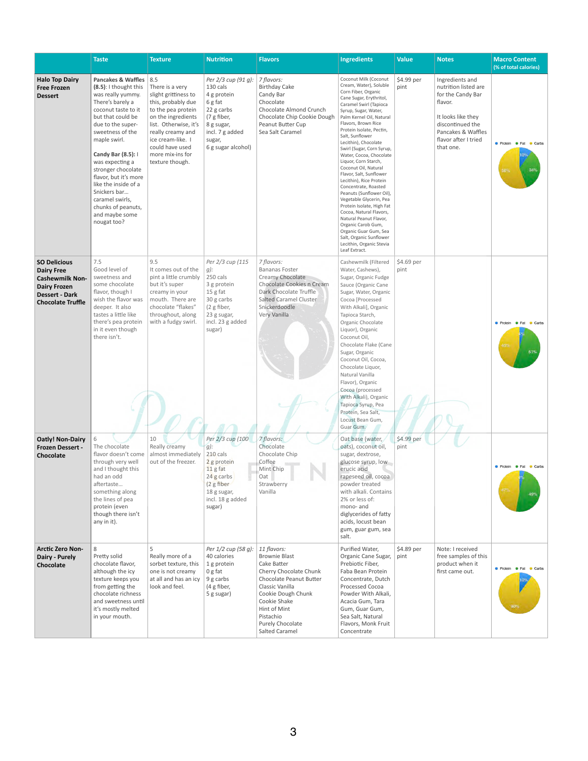|                                                                                                                                                | <b>Taste</b>                                                                                                                                                                                                                                                                                                                                                                                              | <b>Texture</b>                                                                                                                                                                                                                         | <b>Nutrition</b>                                                                                                                                        | <b>Flavors</b>                                                                                                                                                                                                                             | <b>Ingredients</b>                                                                                                                                                                                                                                                                                                                                                                                                                                                                                                                                                                                                                                                                                                                  | <b>Value</b>       | <b>Notes</b>                                                                                                                                                                 | <b>Macro Content</b><br>(% of total calories)            |
|------------------------------------------------------------------------------------------------------------------------------------------------|-----------------------------------------------------------------------------------------------------------------------------------------------------------------------------------------------------------------------------------------------------------------------------------------------------------------------------------------------------------------------------------------------------------|----------------------------------------------------------------------------------------------------------------------------------------------------------------------------------------------------------------------------------------|---------------------------------------------------------------------------------------------------------------------------------------------------------|--------------------------------------------------------------------------------------------------------------------------------------------------------------------------------------------------------------------------------------------|-------------------------------------------------------------------------------------------------------------------------------------------------------------------------------------------------------------------------------------------------------------------------------------------------------------------------------------------------------------------------------------------------------------------------------------------------------------------------------------------------------------------------------------------------------------------------------------------------------------------------------------------------------------------------------------------------------------------------------------|--------------------|------------------------------------------------------------------------------------------------------------------------------------------------------------------------------|----------------------------------------------------------|
| <b>Halo Top Dairy</b><br><b>Free Frozen</b><br><b>Dessert</b>                                                                                  | Pancakes & Waffles   8.5<br>(8.5): I thought this<br>was really yummy.<br>There's barely a<br>coconut taste to it<br>but that could be<br>due to the super-<br>sweetness of the<br>maple swirl.<br>Candy Bar (8.5): I<br>was expecting a<br>stronger chocolate<br>flavor, but it's more<br>like the inside of a<br>Snickers bar<br>caramel swirls,<br>chunks of peanuts,<br>and maybe some<br>nougat too? | There is a very<br>slight grittiness to<br>this, probably due<br>to the pea protein<br>on the ingredients<br>list. Otherwise, it's<br>really creamy and<br>ice cream-like. I<br>could have used<br>more mix-ins for<br>texture though. | Per 2/3 cup (91 g):<br>130 cals<br>4 g protein<br>6 g fat<br>22 g carbs<br>(7 g fiber,<br>8 g sugar,<br>incl. 7 g added<br>sugar,<br>6 g sugar alcohol) | 7 flavors:<br><b>Birthday Cake</b><br>Candy Bar<br>Chocolate<br>Chocolate Almond Crunch<br>Chocolate Chip Cookie Dough<br>Peanut Butter Cup<br>Sea Salt Caramel                                                                            | Coconut Milk (Coconut<br>Cream, Water), Soluble<br>Corn Fiber, Organic<br>Cane Sugar, Erythritol,<br>Caramel Swirl (Tapioca<br>Syrup, Sugar, Water,<br>Palm Kernel Oil, Natural<br>Flavors, Brown Rice<br>Protein Isolate, Pectin,<br>Salt, Sunflower<br>Lecithin), Chocolate<br>Swirl (Sugar, Corn Syrup,<br>Water, Cocoa, Chocolate<br>Liquor, Corn Starch,<br>Coconut Oil, Natural<br>Flavor, Salt, Sunflower<br>Lecithin), Rice Protein<br>Concentrate, Roasted<br>Peanuts (Sunflower Oil),<br>Vegetable Glycerin, Pea<br>Protein Isolate, High Fat<br>Cocoa, Natural Flavors,<br>Natural Peanut Flavor,<br>Organic Carob Gum,<br>Organic Guar Gum, Sea<br>Salt, Organic Sunflower<br>Lecithin, Organic Stevia<br>Leaf Extract. | \$4.99 per<br>pint | Ingredients and<br>nutrition listed are<br>for the Candy Bar<br>flavor.<br>It looks like they<br>discontinued the<br>Pancakes & Waffles<br>flavor after I tried<br>that one. | <b>Protein C</b> Fat<br>Carbs<br>34%<br>56%              |
| <b>SO Delicious</b><br><b>Dairy Free</b><br><b>Cashewmilk Non-</b><br><b>Dairy Frozen</b><br><b>Dessert - Dark</b><br><b>Chocolate Truffle</b> | 7.5<br>Good level of<br>sweetness and<br>some chocolate<br>flavor, though I<br>wish the flavor was<br>deeper. It also<br>tastes a little like<br>there's pea protein<br>in it even though<br>there isn't.                                                                                                                                                                                                 | 9.5<br>It comes out of the<br>pint a little crumbly<br>but it's super<br>creamy in your<br>mouth. There are<br>chocolate "flakes"<br>throughout, along<br>with a fudgy swirl.                                                          | Per 2/3 cup (115<br>$g$ :<br>250 cals<br>3 g protein<br>15 g fat<br>30 g carbs<br>(2 g fiber,<br>23 g sugar,<br>incl. 23 g added<br>sugar)              | 7 flavors:<br><b>Bananas Foster</b><br>Creamy Chocolate<br>Chocolate Cookies n Cream<br>Dark Chocolate Truffle<br><b>Salted Caramel Cluster</b><br>Snickerdoodle<br>Very Vanilla                                                           | Cashewmilk (Filtered<br>Water, Cashews),<br>Sugar, Organic Fudge<br>Sauce (Organic Cane<br>Sugar, Water, Organic<br>Cocoa [Processed<br>With Alkali], Organic<br>Tapioca Starch,<br>Organic Chocolate<br>Liquor), Organic<br>Coconut Oil,<br>Chocolate Flake (Cane<br>Sugar, Organic<br>Coconut Oil, Cocoa,<br>Chocolate Liquor,<br>Natural Vanilla<br>Flavor), Organic<br>Cocoa (processed<br>With Alkali), Organic<br>Tapioca Syrup, Pea<br>Protein, Sea Salt,<br>Locust Bean Gum,<br>Guar Gum.                                                                                                                                                                                                                                   | \$4.69 per<br>pint |                                                                                                                                                                              | <b>O</b> Protein <b>O</b> Fat<br>Carbs<br>45%<br>51%     |
| <b>Oatly! Non-Dairy</b><br><b>Frozen Dessert -</b><br>Chocolate                                                                                | The chocolate<br>flavor doesn't come<br>through very well<br>and I thought this<br>had an odd<br>aftertaste<br>something along<br>the lines of pea<br>protein (even<br>though there isn't<br>any in it).                                                                                                                                                                                                  | 10<br>Really creamy<br>almost immediately<br>out of the freezer.                                                                                                                                                                       | Per 2/3 cup (100<br>$g$ :<br>210 cals<br>2 g protein<br>$11g$ fat<br>24 g carbs<br>(2 g fiber<br>18 g sugar,<br>incl. 18 g added<br>sugar)              | 7 flavors:<br>Chocolate<br>Chocolate Chip<br>Coffee<br>Mint Chip<br>Oat<br>Strawberry<br>Vanilla                                                                                                                                           | Oat base (water,<br>oats), coconut oil,<br>sugar, dextrose,<br>glucose syrup, low<br>erucic acid<br>rapeseed oil, cocoa<br>powder treated<br>with alkali. Contains<br>2% or less of:<br>mono- and<br>diglycerides of fatty<br>acids, locust bean<br>gum, guar gum, sea<br>salt.                                                                                                                                                                                                                                                                                                                                                                                                                                                     | \$4.99 per<br>pint |                                                                                                                                                                              | <b>•</b> Protein<br>$\bullet$ Fat<br>Carbs<br>47%<br>49% |
| <b>Arctic Zero Non-</b><br>Dairy - Purely<br>Chocolate                                                                                         | 8<br>Pretty solid<br>chocolate flavor,<br>although the icy<br>texture keeps you<br>from getting the<br>chocolate richness<br>and sweetness until<br>it's mostly melted<br>in your mouth.                                                                                                                                                                                                                  | 5<br>Really more of a<br>sorbet texture, this<br>one is not creamy<br>at all and has an icy<br>look and feel.                                                                                                                          | Per 1/2 cup (58 g):<br>40 calories<br>1 g protein<br>0 g fat<br>9 g carbs<br>(4 g fiber,<br>5 g sugar)                                                  | 11 flavors:<br><b>Brownie Blast</b><br>Cake Batter<br>Cherry Chocolate Chunk<br>Chocolate Peanut Butter<br>Classic Vanilla<br>Cookie Dough Chunk<br>Cookie Shake<br>Hint of Mint<br>Pistachio<br>Purely Chocolate<br><b>Salted Caramel</b> | Purified Water,<br>Organic Cane Sugar,<br>Prebiotic Fiber,<br>Faba Bean Protein<br>Concentrate, Dutch<br>Processed Cocoa<br>Powder With Alkali,<br>Acacia Gum, Tara<br>Gum, Guar Gum,<br>Sea Salt, Natural<br>Flavors, Monk Fruit<br>Concentrate                                                                                                                                                                                                                                                                                                                                                                                                                                                                                    | \$4.89 per<br>pint | Note: I received<br>free samples of this<br>product when it<br>first came out.                                                                                               | Protein Fat Carbs<br>90%                                 |